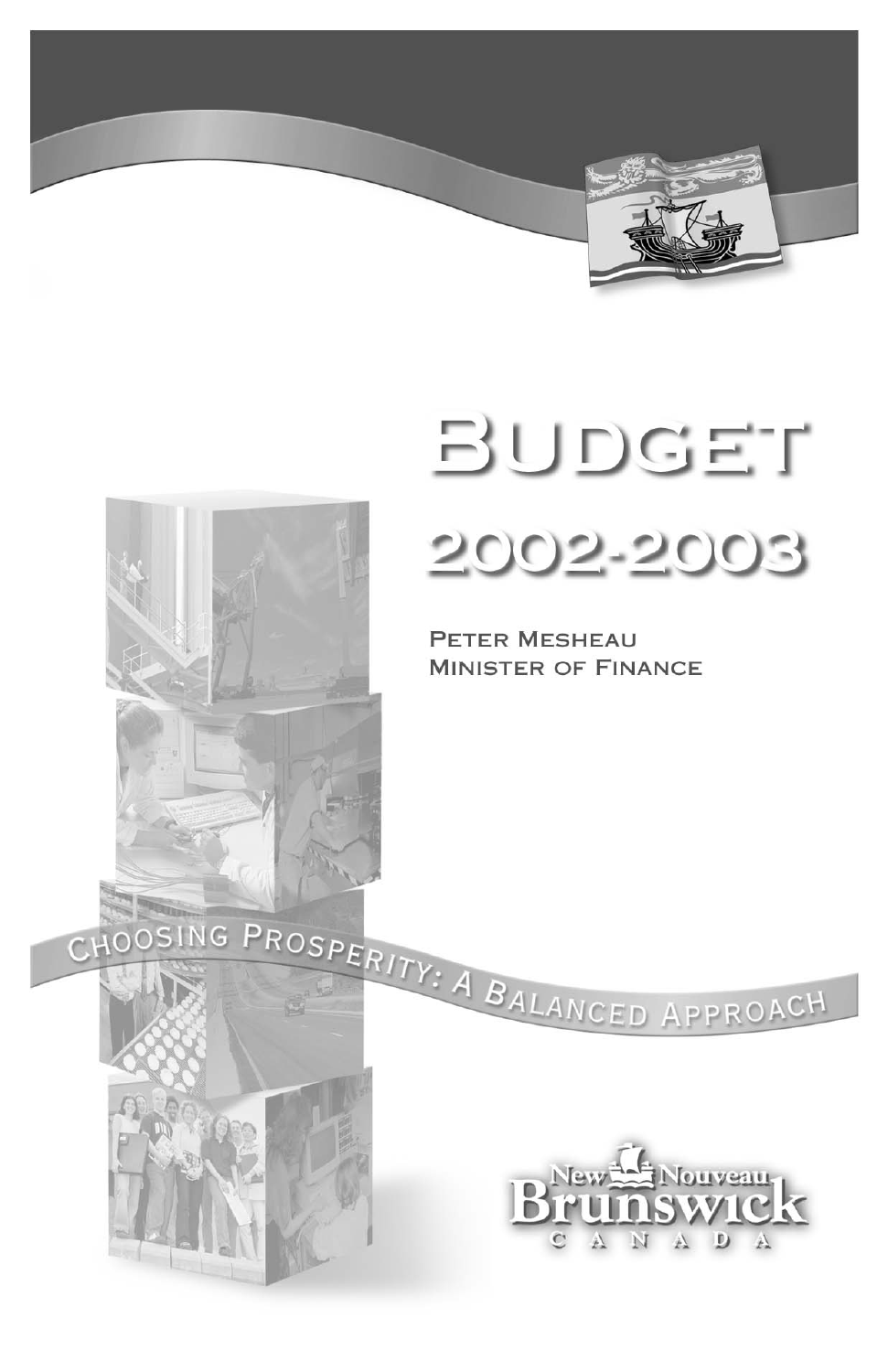

# BUDGET 2002-2003

**PETER MESHEAU MINISTER OF FINANCE** 



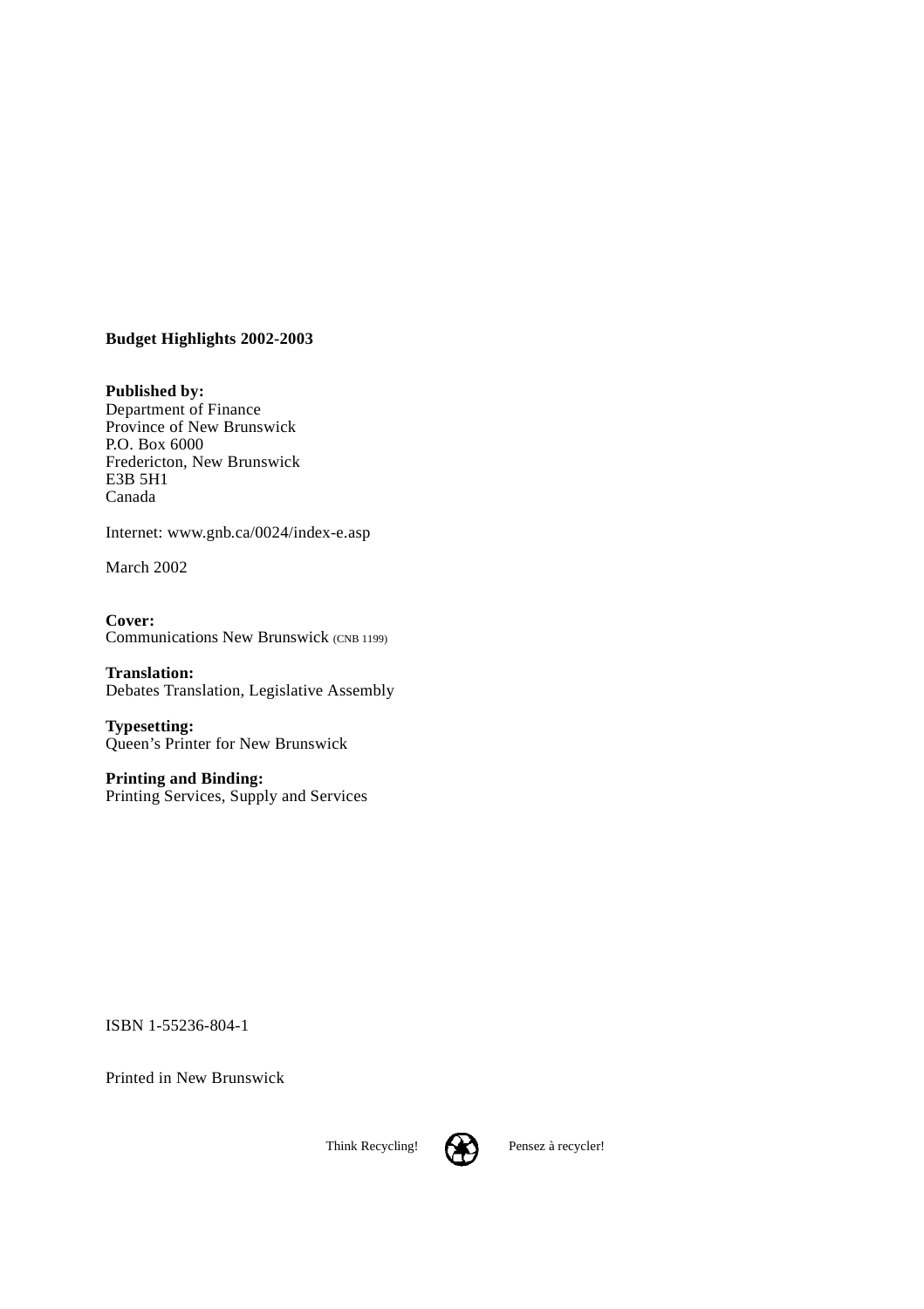#### **Budget Highlights 2002-2003**

**Published by:** Department of Finance Province of New Brunswick P.O. Box 6000 Fredericton, New Brunswick E3B 5H1 Canada

Internet: www.gnb.ca/0024/index-e.asp

March 2002

**Cover:** Communications New Brunswick (CNB 1199)

**Translation:** Debates Translation, Legislative Assembly

**Typesetting:** Queen's Printer for New Brunswick

**Printing and Binding:** Printing Services, Supply and Services

ISBN 1-55236-804-1

Printed in New Brunswick

Think Recycling! **Pensez** à recycler!

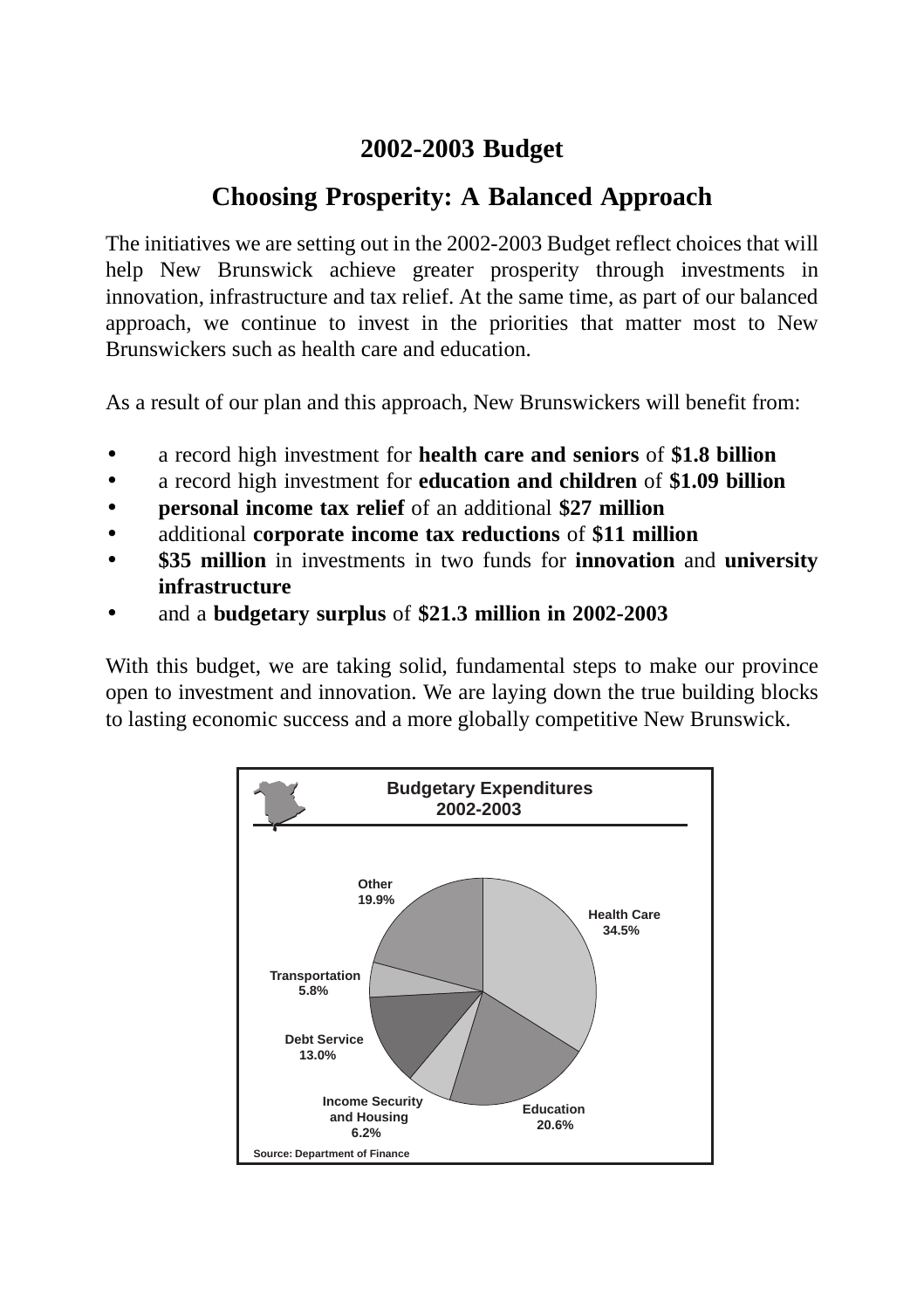### **2002-2003 Budget**

# **Choosing Prosperity: A Balanced Approach**

The initiatives we are setting out in the 2002-2003 Budget reflect choices that will help New Brunswick achieve greater prosperity through investments in innovation, infrastructure and tax relief. At the same time, as part of our balanced approach, we continue to invest in the priorities that matter most to New Brunswickers such as health care and education.

As a result of our plan and this approach, New Brunswickers will benefit from:

- a record high investment for **health care and seniors** of **\$1.8 billion**
- a record high investment for **education and children** of **\$1.09 billion**
- **personal income tax relief** of an additional **\$27 million**
- additional **corporate income tax reductions** of **\$11 million**
- **\$35 million** in investments in two funds for **innovation** and **university infrastructure**
- and a **budgetary surplus** of **\$21.3 million in 2002-2003**

With this budget, we are taking solid, fundamental steps to make our province open to investment and innovation. We are laying down the true building blocks to lasting economic success and a more globally competitive New Brunswick.

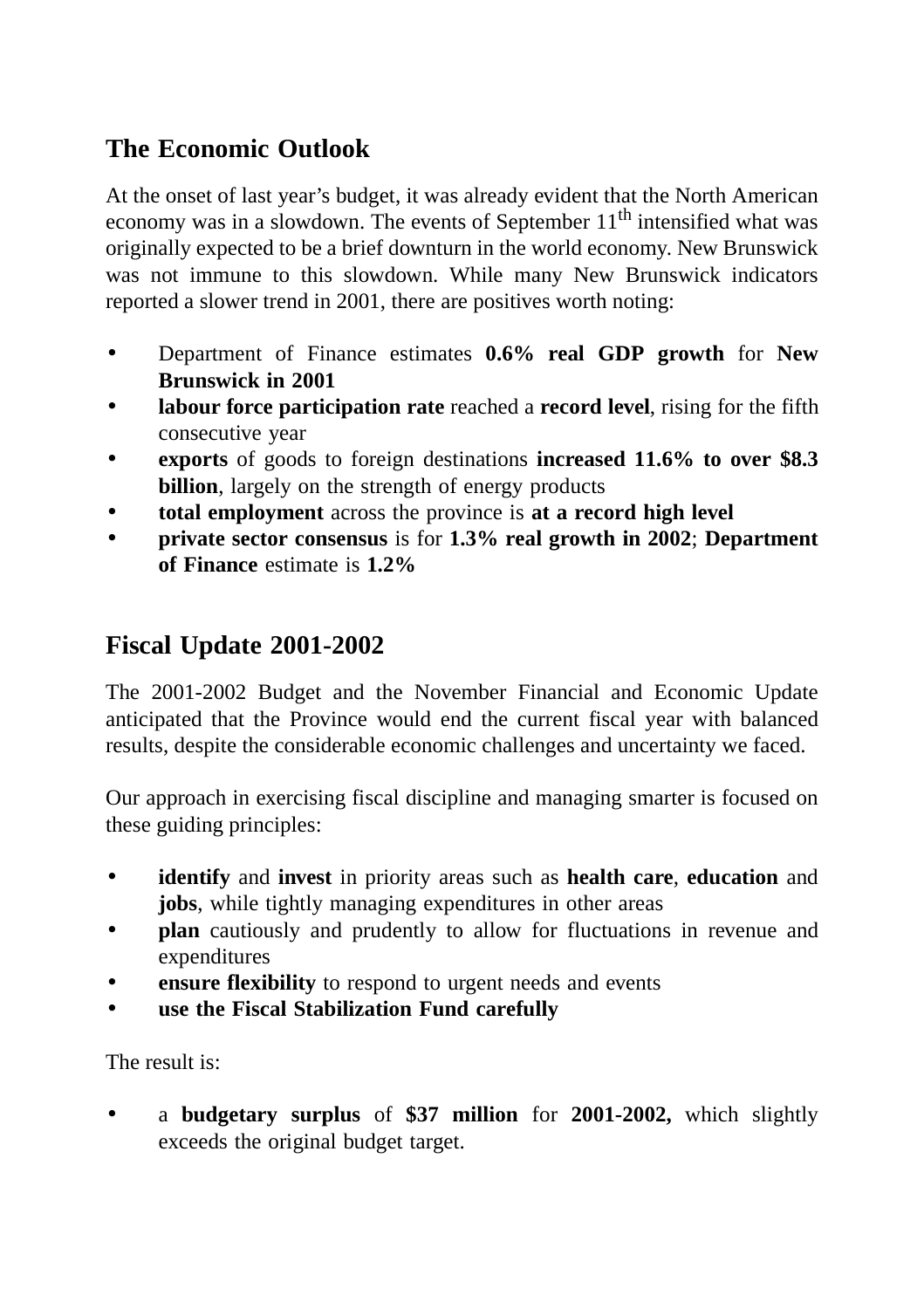# **The Economic Outlook**

At the onset of last year's budget, it was already evident that the North American economy was in a slowdown. The events of September  $11<sup>th</sup>$  intensified what was originally expected to be a brief downturn in the world economy. New Brunswick was not immune to this slowdown. While many New Brunswick indicators reported a slower trend in 2001, there are positives worth noting:

- Department of Finance estimates **0.6% real GDP growth** for **New Brunswick in 2001**
- **labour force participation rate** reached a **record level**, rising for the fifth consecutive year
- **exports** of goods to foreign destinations **increased 11.6% to over \$8.3 billion**, largely on the strength of energy products
- **total employment** across the province is **at a record high level**
- **private sector consensus** is for **1.3% real growth in 2002**; **Department of Finance** estimate is **1.2%**

# **Fiscal Update 2001-2002**

The 2001-2002 Budget and the November Financial and Economic Update anticipated that the Province would end the current fiscal year with balanced results, despite the considerable economic challenges and uncertainty we faced.

Our approach in exercising fiscal discipline and managing smarter is focused on these guiding principles:

- **identify** and **invest** in priority areas such as **health care**, **education** and **jobs**, while tightly managing expenditures in other areas
- **plan** cautiously and prudently to allow for fluctuations in revenue and expenditures
- **ensure flexibility** to respond to urgent needs and events
- **use the Fiscal Stabilization Fund carefully**

The result is:

• a **budgetary surplus** of **\$37 million** for **2001-2002,** which slightly exceeds the original budget target.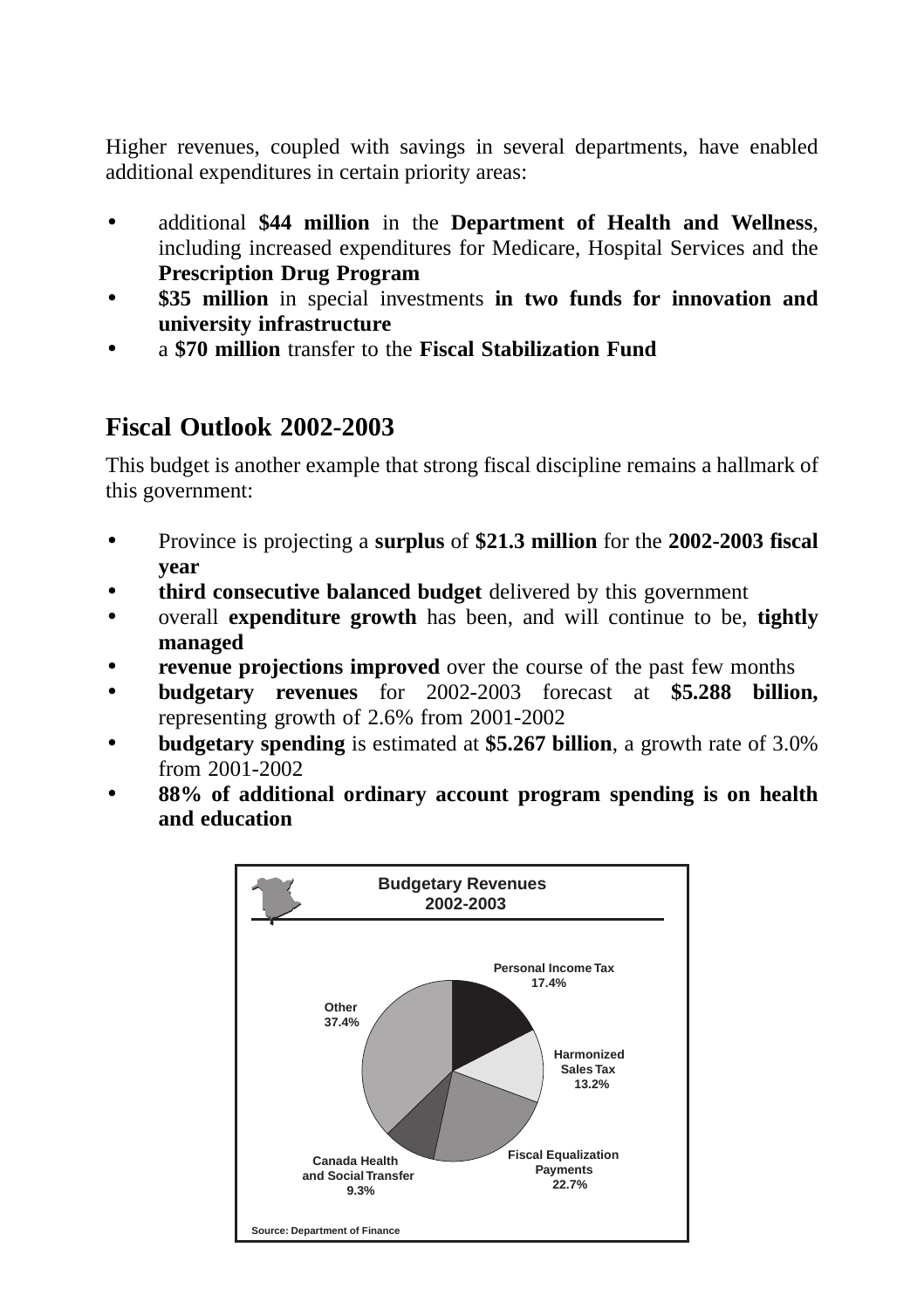Higher revenues, coupled with savings in several departments, have enabled additional expenditures in certain priority areas:

- additional **\$44 million** in the **Department of Health and Wellness**, including increased expenditures for Medicare, Hospital Services and the **Prescription Drug Program**
- **\$35 million** in special investments **in two funds for innovation and university infrastructure**
- a **\$70 million** transfer to the **Fiscal Stabilization Fund**

# **Fiscal Outlook 2002-2003**

This budget is another example that strong fiscal discipline remains a hallmark of this government:

- Province is projecting a **surplus** of **\$21.3 million** for the **2002-2003 fiscal year**
- **third consecutive balanced budget** delivered by this government
- overall **expenditure growth** has been, and will continue to be, **tightly managed**
- **revenue projections improved** over the course of the past few months
- **budgetary revenues** for 2002-2003 forecast at **\$5.288 billion,** representing growth of 2.6% from 2001-2002
- **budgetary spending** is estimated at **\$5.267 billion**, a growth rate of 3.0% from 2001-2002
- **88% of additional ordinary account program spending is on health and education**

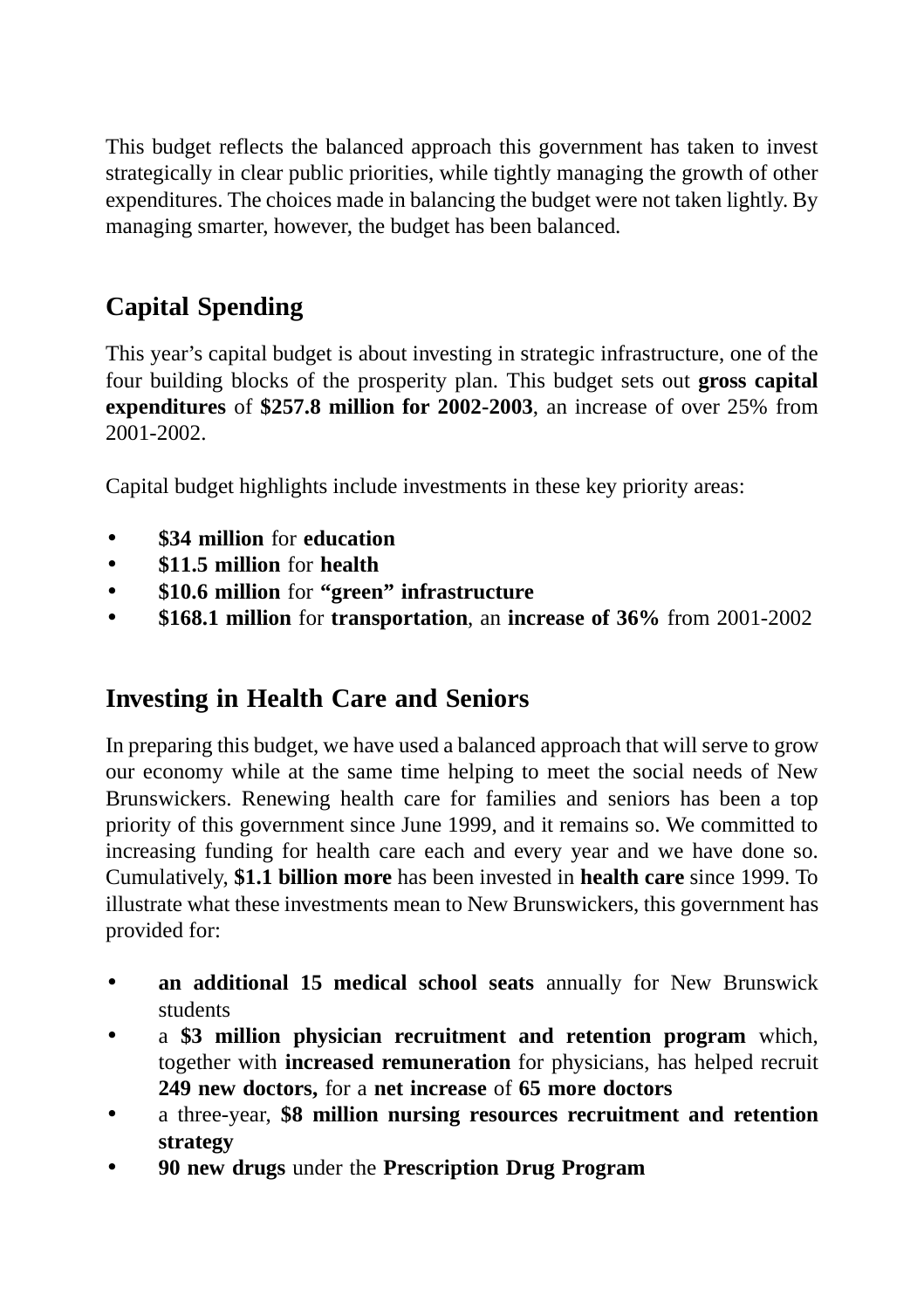This budget reflects the balanced approach this government has taken to invest strategically in clear public priorities, while tightly managing the growth of other expenditures. The choices made in balancing the budget were not taken lightly. By managing smarter, however, the budget has been balanced.

# **Capital Spending**

This year's capital budget is about investing in strategic infrastructure, one of the four building blocks of the prosperity plan. This budget sets out **gross capital expenditures** of **\$257.8 million for 2002-2003**, an increase of over 25% from 2001-2002.

Capital budget highlights include investments in these key priority areas:

- **\$34 million** for **education**
- **\$11.5 million** for **health**
- **\$10.6 million** for **"green" infrastructure**
- **\$168.1 million** for **transportation**, an **increase of 36%** from 2001-2002

# **Investing in Health Care and Seniors**

In preparing this budget, we have used a balanced approach that will serve to grow our economy while at the same time helping to meet the social needs of New Brunswickers. Renewing health care for families and seniors has been a top priority of this government since June 1999, and it remains so. We committed to increasing funding for health care each and every year and we have done so. Cumulatively, **\$1.1 billion more** has been invested in **health care** since 1999. To illustrate what these investments mean to New Brunswickers, this government has provided for:

- **an additional 15 medical school seats** annually for New Brunswick students
- a **\$3 million physician recruitment and retention program** which, together with **increased remuneration** for physicians, has helped recruit **249 new doctors,** for a **net increase** of **65 more doctors**
- a three-year, **\$8 million nursing resources recruitment and retention strategy**
- **90 new drugs** under the **Prescription Drug Program**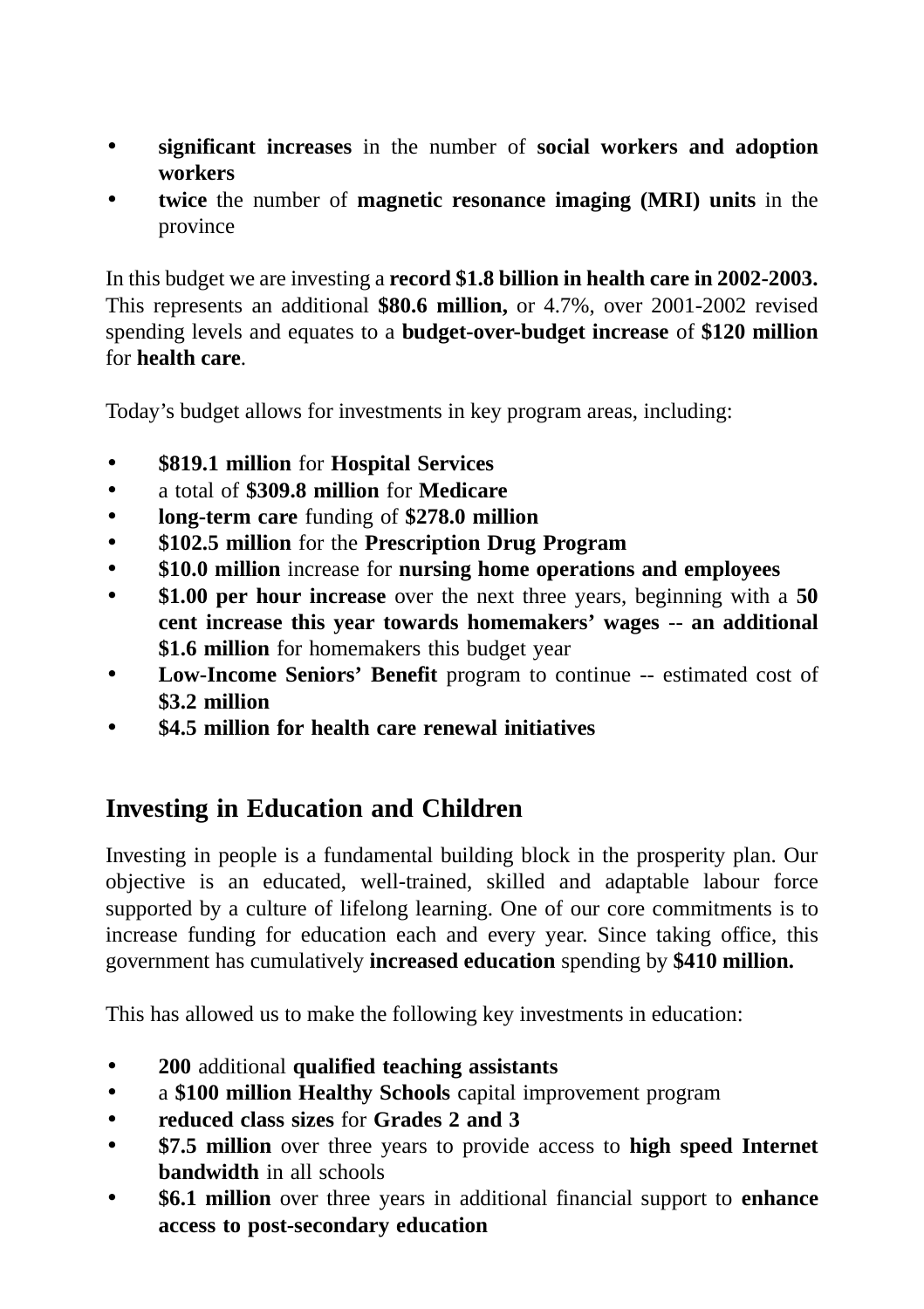- **significant increases** in the number of **social workers and adoption workers**
- **twice** the number of **magnetic resonance imaging (MRI) units** in the province

In this budget we are investing a **record \$1.8 billion in health care in 2002-2003.** This represents an additional **\$80.6 million,** or 4.7%, over 2001-2002 revised spending levels and equates to a **budget-over-budget increase** of **\$120 million** for **health care**.

Today's budget allows for investments in key program areas, including:

- **\$819.1 million** for **Hospital Services**
- a total of **\$309.8 million** for **Medicare**
- **long-term care** funding of **\$278.0 million**
- **\$102.5 million** for the **Prescription Drug Program**
- **\$10.0 million** increase for **nursing home operations and employees**
- **\$1.00 per hour increase** over the next three years, beginning with a **50 cent increase this year towards homemakers' wages** -- **an additional \$1.6 million** for homemakers this budget year
- **Low-Income Seniors' Benefit** program to continue -- estimated cost of **\$3.2 million**
- **\$4.5 million for health care renewal initiatives**

# **Investing in Education and Children**

Investing in people is a fundamental building block in the prosperity plan. Our objective is an educated, well-trained, skilled and adaptable labour force supported by a culture of lifelong learning. One of our core commitments is to increase funding for education each and every year. Since taking office, this government has cumulatively **increased education** spending by **\$410 million.** 

This has allowed us to make the following key investments in education:

- **200** additional **qualified teaching assistants**
- a **\$100 million Healthy Schools** capital improvement program
- **reduced class sizes** for **Grades 2 and 3**
- **\$7.5 million** over three years to provide access to **high speed Internet bandwidth** in all schools
- **\$6.1 million** over three years in additional financial support to **enhance access to post-secondary education**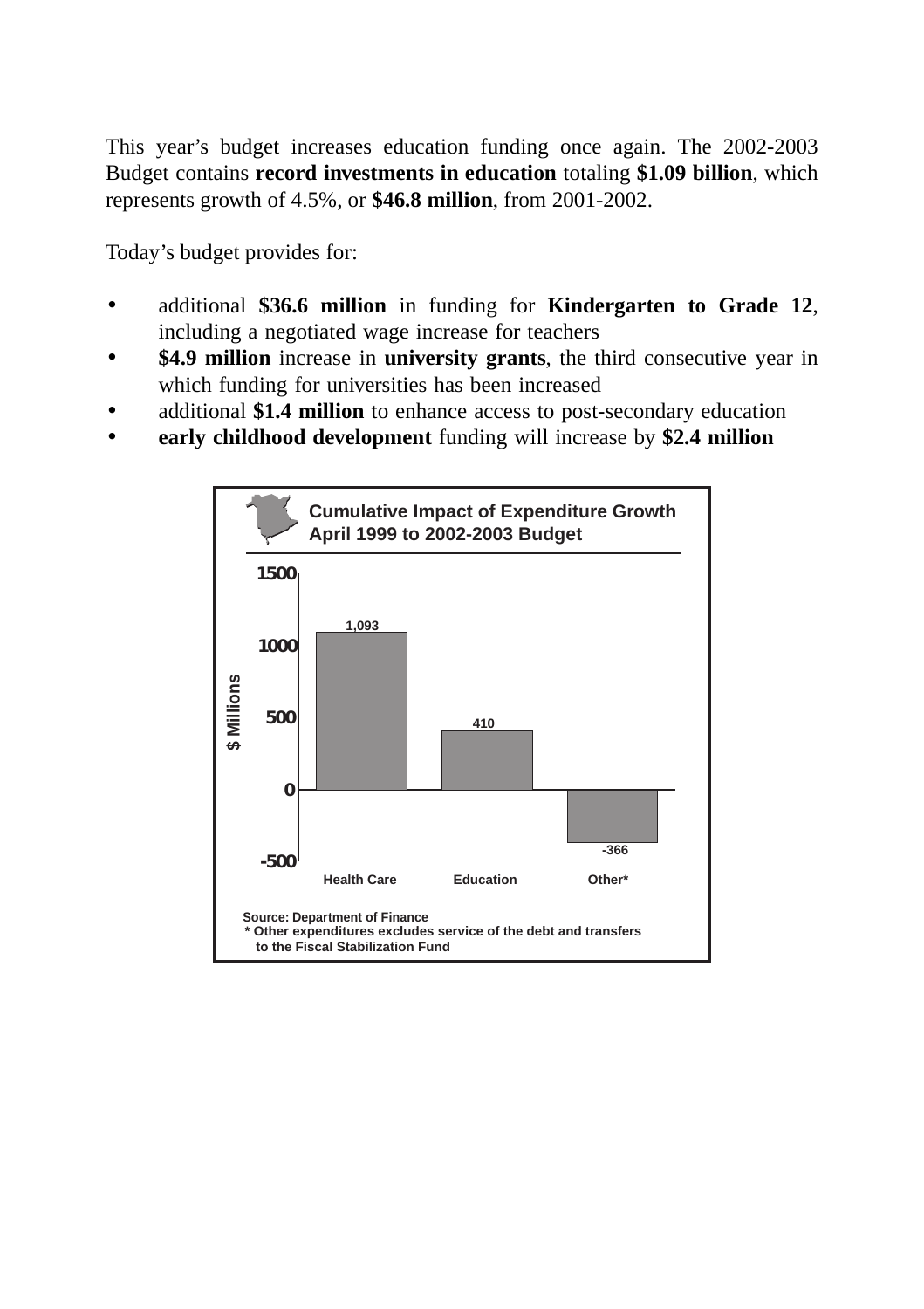This year's budget increases education funding once again. The 2002-2003 Budget contains **record investments in education** totaling **\$1.09 billion**, which represents growth of 4.5%, or **\$46.8 million**, from 2001-2002.

Today's budget provides for:

- additional **\$36.6 million** in funding for **Kindergarten to Grade 12**, including a negotiated wage increase for teachers
- **\$4.9 million** increase in **university grants**, the third consecutive year in which funding for universities has been increased
- additional **\$1.4 million** to enhance access to post-secondary education
- **early childhood development** funding will increase by **\$2.4 million**

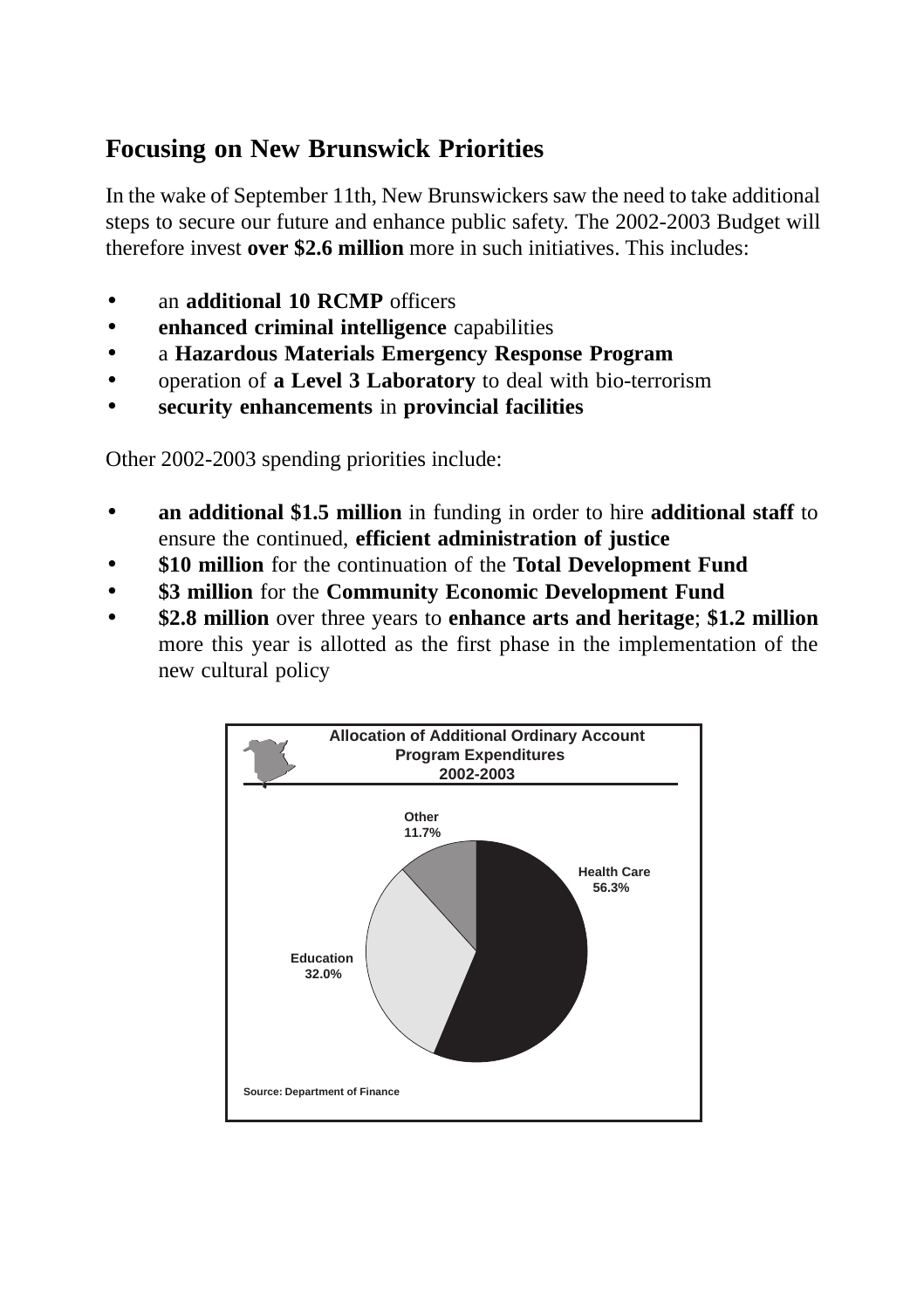# **Focusing on New Brunswick Priorities**

In the wake of September 11th, New Brunswickers saw the need to take additional steps to secure our future and enhance public safety. The 2002-2003 Budget will therefore invest **over \$2.6 million** more in such initiatives. This includes:

- an **additional 10 RCMP** officers
- **enhanced criminal intelligence** capabilities
- a **Hazardous Materials Emergency Response Program**
- operation of **a Level 3 Laboratory** to deal with bio-terrorism
- **security enhancements** in **provincial facilities**

Other 2002-2003 spending priorities include:

- **an additional \$1.5 million** in funding in order to hire **additional staff** to ensure the continued, **efficient administration of justice**
- **\$10 million** for the continuation of the **Total Development Fund**
- **\$3 million** for the **Community Economic Development Fund**
- **\$2.8 million** over three years to **enhance arts and heritage**; **\$1.2 million** more this year is allotted as the first phase in the implementation of the new cultural policy

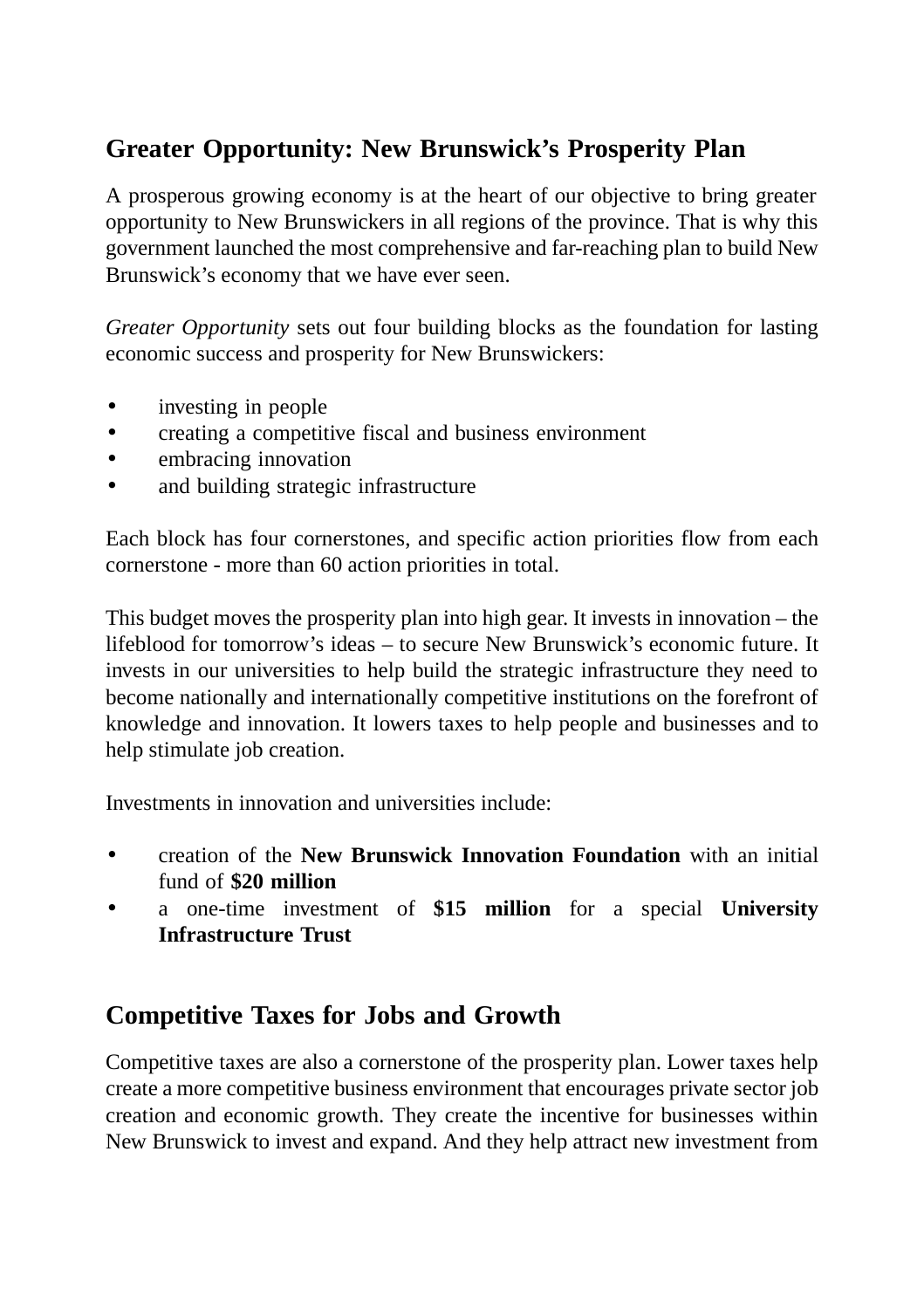# **Greater Opportunity: New Brunswick's Prosperity Plan**

A prosperous growing economy is at the heart of our objective to bring greater opportunity to New Brunswickers in all regions of the province. That is why this government launched the most comprehensive and far-reaching plan to build New Brunswick's economy that we have ever seen.

*Greater Opportunity* sets out four building blocks as the foundation for lasting economic success and prosperity for New Brunswickers:

- investing in people
- creating a competitive fiscal and business environment
- embracing innovation
- and building strategic infrastructure

Each block has four cornerstones, and specific action priorities flow from each cornerstone - more than 60 action priorities in total.

This budget moves the prosperity plan into high gear. It invests in innovation – the lifeblood for tomorrow's ideas – to secure New Brunswick's economic future. It invests in our universities to help build the strategic infrastructure they need to become nationally and internationally competitive institutions on the forefront of knowledge and innovation. It lowers taxes to help people and businesses and to help stimulate job creation.

Investments in innovation and universities include:

- creation of the **New Brunswick Innovation Foundation** with an initial fund of **\$20 million**
- a one-time investment of **\$15 million** for a special **University Infrastructure Trust**

### **Competitive Taxes for Jobs and Growth**

Competitive taxes are also a cornerstone of the prosperity plan. Lower taxes help create a more competitive business environment that encourages private sector job creation and economic growth. They create the incentive for businesses within New Brunswick to invest and expand. And they help attract new investment from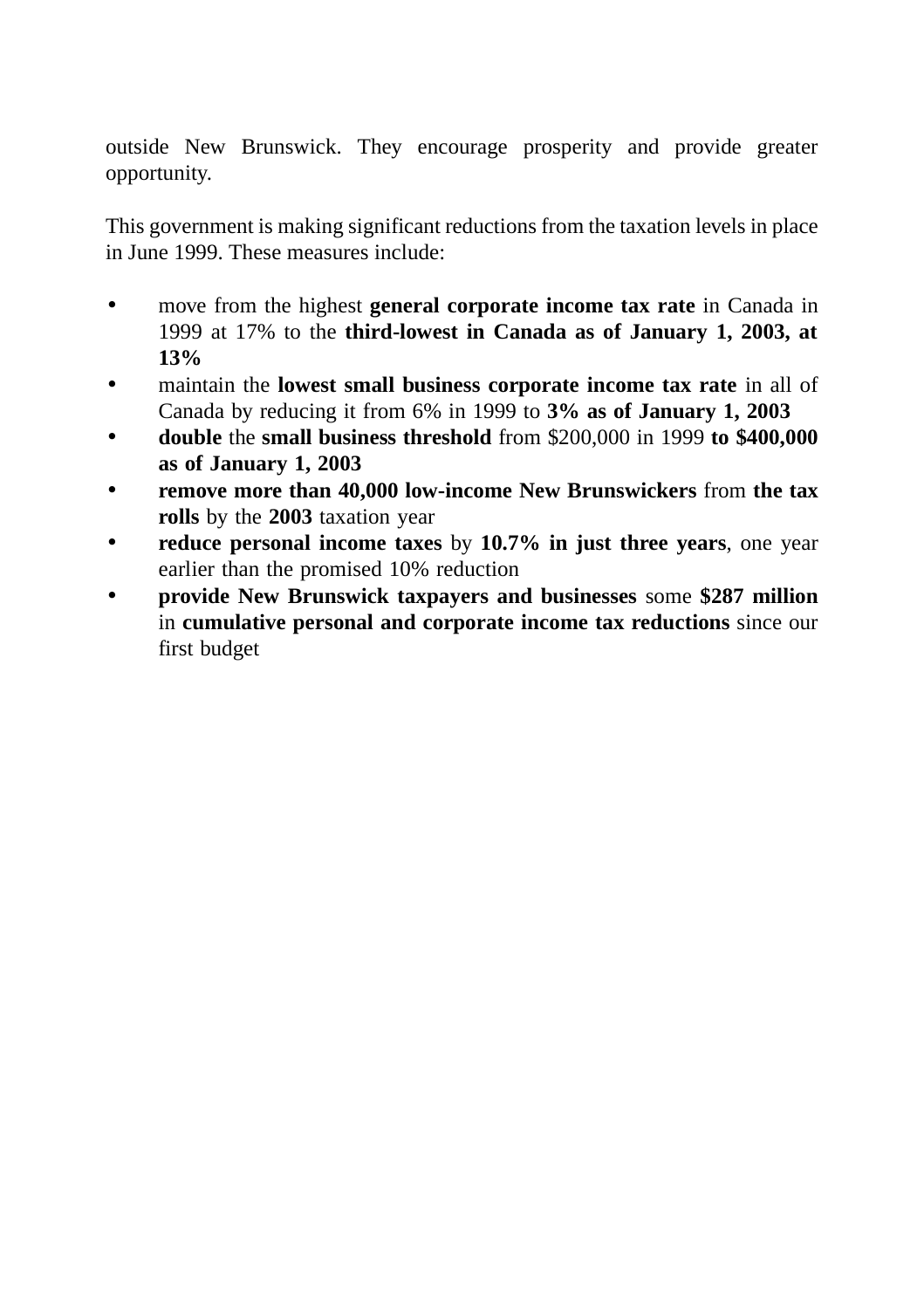outside New Brunswick. They encourage prosperity and provide greater opportunity.

This government is making significant reductions from the taxation levels in place in June 1999. These measures include:

- move from the highest **general corporate income tax rate** in Canada in 1999 at 17% to the **third-lowest in Canada as of January 1, 2003, at 13%**
- maintain the **lowest small business corporate income tax rate** in all of Canada by reducing it from 6% in 1999 to **3% as of January 1, 2003**
- **double** the **small business threshold** from \$200,000 in 1999 **to \$400,000 as of January 1, 2003**
- **remove more than 40,000 low-income New Brunswickers** from **the tax rolls** by the **2003** taxation year
- **reduce personal income taxes** by **10.7% in just three years**, one year earlier than the promised 10% reduction
- **provide New Brunswick taxpayers and businesses** some **\$287 million** in **cumulative personal and corporate income tax reductions** since our first budget